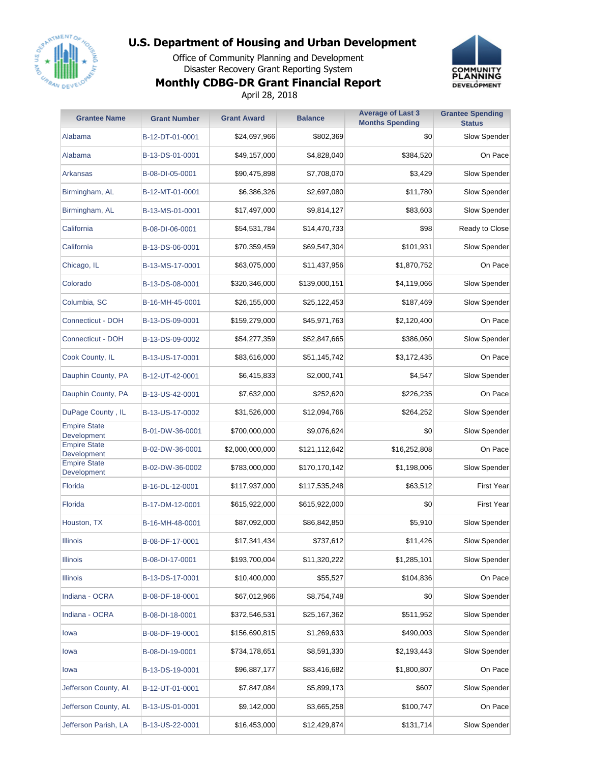

Office of Community Planning and Development Disaster Recovery Grant Reporting System **Monthly CDBG-DR Grant Financial Report** April 28, 2018



| <b>Grantee Name</b>                | <b>Grant Number</b> | <b>Grant Award</b> | <b>Balance</b> | <b>Average of Last 3</b><br><b>Months Spending</b> | <b>Grantee Spending</b><br><b>Status</b> |
|------------------------------------|---------------------|--------------------|----------------|----------------------------------------------------|------------------------------------------|
| Alabama                            | B-12-DT-01-0001     | \$24,697,966       | \$802,369      | \$0                                                | Slow Spender                             |
| Alabama                            | B-13-DS-01-0001     | \$49,157,000       | \$4,828,040    | \$384,520                                          | On Pace                                  |
| Arkansas                           | B-08-DI-05-0001     | \$90,475,898       | \$7,708,070    | \$3,429                                            | Slow Spender                             |
| Birmingham, AL                     | B-12-MT-01-0001     | \$6,386,326        | \$2,697,080    | \$11,780                                           | Slow Spender                             |
| Birmingham, AL                     | B-13-MS-01-0001     | \$17,497,000       | \$9,814,127    | \$83,603                                           | <b>Slow Spender</b>                      |
| California                         | B-08-DI-06-0001     | \$54,531,784       | \$14,470,733   | \$98                                               | Ready to Close                           |
| California                         | B-13-DS-06-0001     | \$70,359,459       | \$69,547,304   | \$101,931                                          | Slow Spender                             |
| Chicago, IL                        | B-13-MS-17-0001     | \$63,075,000       | \$11,437,956   | \$1,870,752                                        | On Pace                                  |
| Colorado                           | B-13-DS-08-0001     | \$320,346,000      | \$139,000,151  | \$4,119,066                                        | Slow Spender                             |
| Columbia, SC                       | B-16-MH-45-0001     | \$26,155,000       | \$25,122,453   | \$187,469                                          | Slow Spender                             |
| Connecticut - DOH                  | B-13-DS-09-0001     | \$159,279,000      | \$45,971,763   | \$2,120,400                                        | On Pace                                  |
| <b>Connecticut - DOH</b>           | B-13-DS-09-0002     | \$54,277,359       | \$52,847,665   | \$386,060                                          | Slow Spender                             |
| Cook County, IL                    | B-13-US-17-0001     | \$83,616,000       | \$51,145,742   | \$3,172,435                                        | On Pace                                  |
| Dauphin County, PA                 | B-12-UT-42-0001     | \$6,415,833        | \$2,000,741    | \$4,547                                            | Slow Spender                             |
| Dauphin County, PA                 | B-13-US-42-0001     | \$7,632,000        | \$252,620      | \$226,235                                          | On Pace                                  |
| DuPage County, IL                  | B-13-US-17-0002     | \$31,526,000       | \$12,094,766   | \$264,252                                          | Slow Spender                             |
| <b>Empire State</b><br>Development | B-01-DW-36-0001     | \$700,000,000      | \$9,076,624    | \$0                                                | Slow Spender                             |
| <b>Empire State</b><br>Development | B-02-DW-36-0001     | \$2,000,000,000    | \$121,112,642  | \$16,252,808                                       | On Pace                                  |
| <b>Empire State</b><br>Development | B-02-DW-36-0002     | \$783,000,000      | \$170,170,142  | \$1,198,006                                        | Slow Spender                             |
| Florida                            | B-16-DL-12-0001     | \$117,937,000      | \$117,535,248  | \$63,512                                           | <b>First Year</b>                        |
| Florida                            | B-17-DM-12-0001     | \$615,922,000      | \$615,922,000  | \$0                                                | <b>First Year</b>                        |
| Houston, TX                        | B-16-MH-48-0001     | \$87,092,000       | \$86,842,850   | \$5,910                                            | Slow Spender                             |
| Illinois                           | B-08-DF-17-0001     | \$17,341,434       | \$737,612      | \$11,426                                           | Slow Spender                             |
| <b>Illinois</b>                    | B-08-DI-17-0001     | \$193,700,004      | \$11,320,222   | \$1,285,101                                        | Slow Spender                             |
| <b>Illinois</b>                    | B-13-DS-17-0001     | \$10,400,000       | \$55,527       | \$104,836                                          | On Pace                                  |
| Indiana - OCRA                     | B-08-DF-18-0001     | \$67,012,966       | \$8,754,748    | \$0                                                | Slow Spender                             |
| Indiana - OCRA                     | B-08-DI-18-0001     | \$372,546,531      | \$25,167,362   | \$511,952                                          | Slow Spender                             |
| lowa                               | B-08-DF-19-0001     | \$156,690,815      | \$1,269,633    | \$490,003                                          | Slow Spender                             |
| lowa                               | B-08-DI-19-0001     | \$734,178,651      | \$8,591,330    | \$2,193,443                                        | Slow Spender                             |
| lowa                               | B-13-DS-19-0001     | \$96,887,177       | \$83,416,682   | \$1,800,807                                        | On Pace                                  |
| Jefferson County, AL               | B-12-UT-01-0001     | \$7,847,084        | \$5,899,173    | \$607                                              | Slow Spender                             |
| Jefferson County, AL               | B-13-US-01-0001     | \$9,142,000        | \$3,665,258    | \$100,747                                          | On Pace                                  |
| Jefferson Parish, LA               | B-13-US-22-0001     | \$16,453,000       | \$12,429,874   | \$131,714                                          | Slow Spender                             |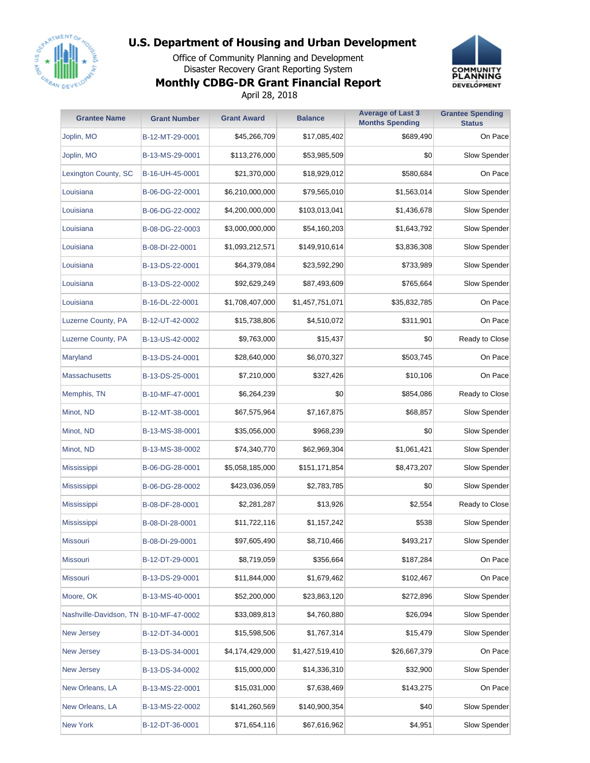

Office of Community Planning and Development Disaster Recovery Grant Reporting System **Monthly CDBG-DR Grant Financial Report**



April 28, 2018

| <b>Grantee Name</b>                    | <b>Grant Number</b> | <b>Grant Award</b> | <b>Balance</b>  | <b>Average of Last 3</b><br><b>Months Spending</b> | <b>Grantee Spending</b><br><b>Status</b> |
|----------------------------------------|---------------------|--------------------|-----------------|----------------------------------------------------|------------------------------------------|
| Joplin, MO                             | B-12-MT-29-0001     | \$45,266,709       | \$17,085,402    | \$689,490                                          | On Pace                                  |
| Joplin, MO                             | B-13-MS-29-0001     | \$113,276,000      | \$53,985,509    | \$0                                                | Slow Spender                             |
| Lexington County, SC                   | B-16-UH-45-0001     | \$21,370,000       | \$18,929,012    | \$580,684                                          | On Pace                                  |
| Louisiana                              | B-06-DG-22-0001     | \$6,210,000,000    | \$79,565,010    | \$1,563,014                                        | Slow Spender                             |
| Louisiana                              | B-06-DG-22-0002     | \$4,200,000,000    | \$103,013,041   | \$1,436,678                                        | Slow Spender                             |
| Louisiana                              | B-08-DG-22-0003     | \$3,000,000,000    | \$54,160,203    | \$1,643,792                                        | Slow Spender                             |
| Louisiana                              | B-08-DI-22-0001     | \$1,093,212,571    | \$149,910,614   | \$3,836,308                                        | Slow Spender                             |
| Louisiana                              | B-13-DS-22-0001     | \$64,379,084       | \$23,592,290    | \$733,989                                          | Slow Spender                             |
| Louisiana                              | B-13-DS-22-0002     | \$92,629,249       | \$87,493,609    | \$765,664                                          | Slow Spender                             |
| Louisiana                              | B-16-DL-22-0001     | \$1,708,407,000    | \$1,457,751,071 | \$35,832,785                                       | On Pace                                  |
| Luzerne County, PA                     | B-12-UT-42-0002     | \$15,738,806       | \$4,510,072     | \$311,901                                          | On Pace                                  |
| Luzerne County, PA                     | B-13-US-42-0002     | \$9,763,000        | \$15,437        | \$0                                                | Ready to Close                           |
| Maryland                               | B-13-DS-24-0001     | \$28,640,000       | \$6,070,327     | \$503,745                                          | On Pace                                  |
| <b>Massachusetts</b>                   | B-13-DS-25-0001     | \$7,210,000        | \$327,426       | \$10,106                                           | On Pace                                  |
| Memphis, TN                            | B-10-MF-47-0001     | \$6,264,239        | \$0             | \$854,086                                          | Ready to Close                           |
| Minot, ND                              | B-12-MT-38-0001     | \$67,575,964       | \$7,167,875     | \$68,857                                           | Slow Spender                             |
| Minot, ND                              | B-13-MS-38-0001     | \$35,056,000       | \$968,239       | \$0                                                | Slow Spender                             |
| Minot, ND                              | B-13-MS-38-0002     | \$74,340,770       | \$62,969,304    | \$1,061,421                                        | Slow Spender                             |
| <b>Mississippi</b>                     | B-06-DG-28-0001     | \$5,058,185,000    | \$151,171,854   | \$8,473,207                                        | Slow Spender                             |
| <b>Mississippi</b>                     | B-06-DG-28-0002     | \$423,036,059      | \$2,783,785     | \$0                                                | Slow Spender                             |
| <b>Mississippi</b>                     | B-08-DF-28-0001     | \$2,281,287        | \$13,926        | \$2,554                                            | Ready to Close                           |
| Mississippi                            | B-08-DI-28-0001     | \$11,722,116       | \$1,157,242     | \$538                                              | Slow Spender                             |
| Missouri                               | B-08-DI-29-0001     | \$97,605,490       | \$8,710,466     | \$493,217                                          | Slow Spender                             |
| <b>Missouri</b>                        | B-12-DT-29-0001     | \$8,719,059        | \$356,664       | \$187,284                                          | On Pace                                  |
| <b>Missouri</b>                        | B-13-DS-29-0001     | \$11,844,000       | \$1,679,462     | \$102,467                                          | On Pace                                  |
| Moore, OK                              | B-13-MS-40-0001     | \$52,200,000       | \$23,863,120    | \$272,896                                          | Slow Spender                             |
| Nashville-Davidson, TN B-10-MF-47-0002 |                     | \$33,089,813       | \$4,760,880     | \$26,094                                           | Slow Spender                             |
| <b>New Jersey</b>                      | B-12-DT-34-0001     | \$15,598,506       | \$1,767,314     | \$15,479                                           | Slow Spender                             |
| New Jersey                             | B-13-DS-34-0001     | \$4,174,429,000    | \$1,427,519,410 | \$26,667,379                                       | On Pace                                  |
| New Jersey                             | B-13-DS-34-0002     | \$15,000,000       | \$14,336,310    | \$32,900                                           | Slow Spender                             |
| New Orleans, LA                        | B-13-MS-22-0001     | \$15,031,000       | \$7,638,469     | \$143,275                                          | On Pace                                  |
| New Orleans, LA                        | B-13-MS-22-0002     | \$141,260,569      | \$140,900,354   | \$40                                               | Slow Spender                             |
| New York                               | B-12-DT-36-0001     | \$71,654,116       | \$67,616,962    | \$4,951                                            | Slow Spender                             |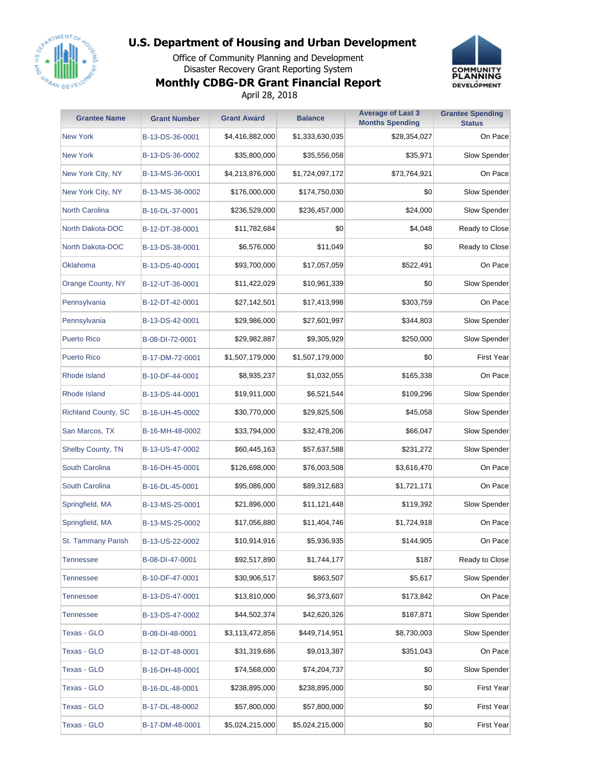

Office of Community Planning and Development Disaster Recovery Grant Reporting System **Monthly CDBG-DR Grant Financial Report** April 28, 2018



| <b>Grantee Name</b>        | <b>Grant Number</b> | <b>Grant Award</b> | <b>Balance</b>  | <b>Average of Last 3</b><br><b>Months Spending</b> | <b>Grantee Spending</b><br><b>Status</b> |
|----------------------------|---------------------|--------------------|-----------------|----------------------------------------------------|------------------------------------------|
| <b>New York</b>            | B-13-DS-36-0001     | \$4,416,882,000    | \$1,333,630,035 | \$28,354,027                                       | On Pace                                  |
| <b>New York</b>            | B-13-DS-36-0002     | \$35,800,000       | \$35,556,058    | \$35,971                                           | Slow Spender                             |
| New York City, NY          | B-13-MS-36-0001     | \$4,213,876,000    | \$1,724,097,172 | \$73,764,921                                       | On Pace                                  |
| New York City, NY          | B-13-MS-36-0002     | \$176,000,000      | \$174,750,030   | \$0                                                | Slow Spender                             |
| <b>North Carolina</b>      | B-16-DL-37-0001     | \$236,529,000      | \$236,457,000   | \$24,000                                           | Slow Spender                             |
| <b>North Dakota-DOC</b>    | B-12-DT-38-0001     | \$11,782,684       | \$0             | \$4,048                                            | Ready to Close                           |
| North Dakota-DOC           | B-13-DS-38-0001     | \$6,576,000        | \$11,049        | \$0                                                | Ready to Close                           |
| Oklahoma                   | B-13-DS-40-0001     | \$93,700,000       | \$17,057,059    | \$522,491                                          | On Pace                                  |
| Orange County, NY          | B-12-UT-36-0001     | \$11,422,029       | \$10,961,339    | \$0                                                | Slow Spender                             |
| Pennsylvania               | B-12-DT-42-0001     | \$27,142,501       | \$17,413,998    | \$303,759                                          | On Pace                                  |
| Pennsylvania               | B-13-DS-42-0001     | \$29,986,000       | \$27,601,997    | \$344,803                                          | Slow Spender                             |
| <b>Puerto Rico</b>         | B-08-DI-72-0001     | \$29,982,887       | \$9,305,929     | \$250,000                                          | Slow Spender                             |
| <b>Puerto Rico</b>         | B-17-DM-72-0001     | \$1,507,179,000    | \$1,507,179,000 | \$0                                                | <b>First Year</b>                        |
| Rhode Island               | B-10-DF-44-0001     | \$8,935,237        | \$1,032,055     | \$165,338                                          | On Pace                                  |
| <b>Rhode Island</b>        | B-13-DS-44-0001     | \$19,911,000       | \$6,521,544     | \$109,296                                          | Slow Spender                             |
| <b>Richland County, SC</b> | B-16-UH-45-0002     | \$30,770,000       | \$29,825,506    | \$45,058                                           | Slow Spender                             |
| San Marcos, TX             | B-16-MH-48-0002     | \$33,794,000       | \$32,478,206    | \$66,047                                           | Slow Spender                             |
| <b>Shelby County, TN</b>   | B-13-US-47-0002     | \$60,445,163       | \$57,637,588    | \$231,272                                          | Slow Spender                             |
| South Carolina             | B-16-DH-45-0001     | \$126,698,000      | \$76,003,508    | \$3,616,470                                        | On Pace                                  |
| <b>South Carolina</b>      | B-16-DL-45-0001     | \$95,086,000       | \$89,312,683    | \$1,721,171                                        | On Pace                                  |
| Springfield, MA            | B-13-MS-25-0001     | \$21,896,000       | \$11,121,448    | \$119,392                                          | Slow Spender                             |
| Springfield, MA            | B-13-MS-25-0002     | \$17,056,880       | \$11,404,746    | \$1,724,918                                        | On Pace                                  |
| St. Tammany Parish         | B-13-US-22-0002     | \$10,914,916       | \$5,936,935     | \$144,905                                          | On Pace                                  |
| <b>Tennessee</b>           | B-08-DI-47-0001     | \$92,517,890       | \$1,744,177     | \$187                                              | Ready to Close                           |
| <b>Tennessee</b>           | B-10-DF-47-0001     | \$30,906,517       | \$863,507       | \$5,617                                            | Slow Spender                             |
| <b>Tennessee</b>           | B-13-DS-47-0001     | \$13,810,000       | \$6,373,607     | \$173,842                                          | On Pace                                  |
| <b>Tennessee</b>           | B-13-DS-47-0002     | \$44,502,374       | \$42,620,326    | \$187,871                                          | Slow Spender                             |
| <b>Texas - GLO</b>         | B-08-DI-48-0001     | \$3,113,472,856    | \$449,714,951   | \$8,730,003                                        | Slow Spender                             |
| Texas - GLO                | B-12-DT-48-0001     | \$31,319,686       | \$9,013,387     | \$351,043                                          | On Pace                                  |
| Texas - GLO                | B-16-DH-48-0001     | \$74,568,000       | \$74,204,737    | \$0                                                | Slow Spender                             |
| Texas - GLO                | B-16-DL-48-0001     | \$238,895,000      | \$238,895,000   | \$0                                                | <b>First Year</b>                        |
| <b>Texas - GLO</b>         | B-17-DL-48-0002     | \$57,800,000       | \$57,800,000    | \$0                                                | <b>First Year</b>                        |
| <b>Texas - GLO</b>         | B-17-DM-48-0001     | \$5,024,215,000    | \$5,024,215,000 | \$0                                                | <b>First Year</b>                        |